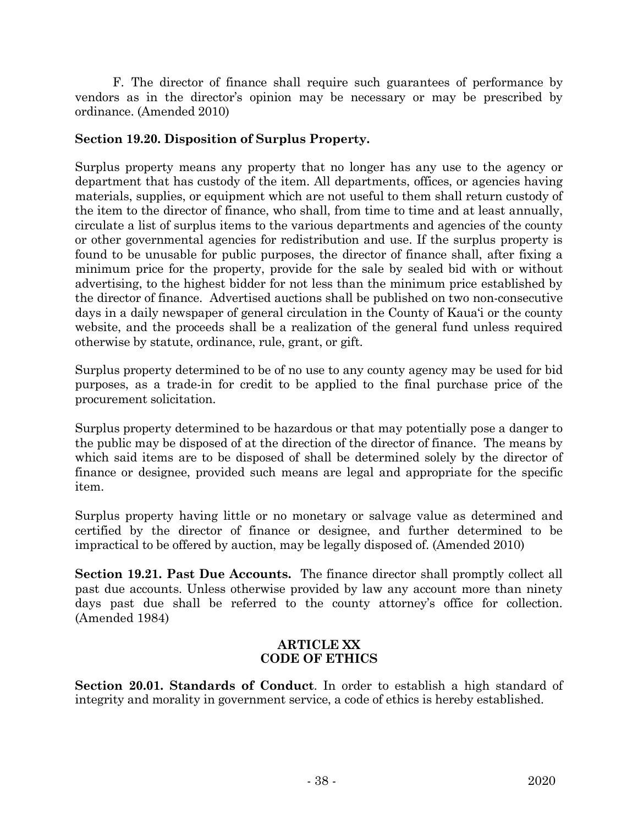F. The director of finance shall require such guarantees of performance by vendors as in the director's opinion may be necessary or may be prescribed by ordinance. (Amended 2010)

## **Section 19.20. Disposition of Surplus Property.**

Surplus property means any property that no longer has any use to the agency or department that has custody of the item. All departments, offices, or agencies having materials, supplies, or equipment which are not useful to them shall return custody of the item to the director of finance, who shall, from time to time and at least annually, circulate a list of surplus items to the various departments and agencies of the county or other governmental agencies for redistribution and use. If the surplus property is found to be unusable for public purposes, the director of finance shall, after fixing a minimum price for the property, provide for the sale by sealed bid with or without advertising, to the highest bidder for not less than the minimum price established by the director of finance. Advertised auctions shall be published on two non-consecutive days in a daily newspaper of general circulation in the County of Kaua'i or the county website, and the proceeds shall be a realization of the general fund unless required otherwise by statute, ordinance, rule, grant, or gift.

Surplus property determined to be of no use to any county agency may be used for bid purposes, as a trade-in for credit to be applied to the final purchase price of the procurement solicitation.

Surplus property determined to be hazardous or that may potentially pose a danger to the public may be disposed of at the direction of the director of finance. The means by which said items are to be disposed of shall be determined solely by the director of finance or designee, provided such means are legal and appropriate for the specific item.

Surplus property having little or no monetary or salvage value as determined and certified by the director of finance or designee, and further determined to be impractical to be offered by auction, may be legally disposed of. (Amended 2010)

**Section 19.21. Past Due Accounts.** The finance director shall promptly collect all past due accounts. Unless otherwise provided by law any account more than ninety days past due shall be referred to the county attorney's office for collection. (Amended 1984)

## **ARTICLE XX CODE OF ETHICS**

**Section 20.01. Standards of Conduct**. In order to establish a high standard of integrity and morality in government service, a code of ethics is hereby established.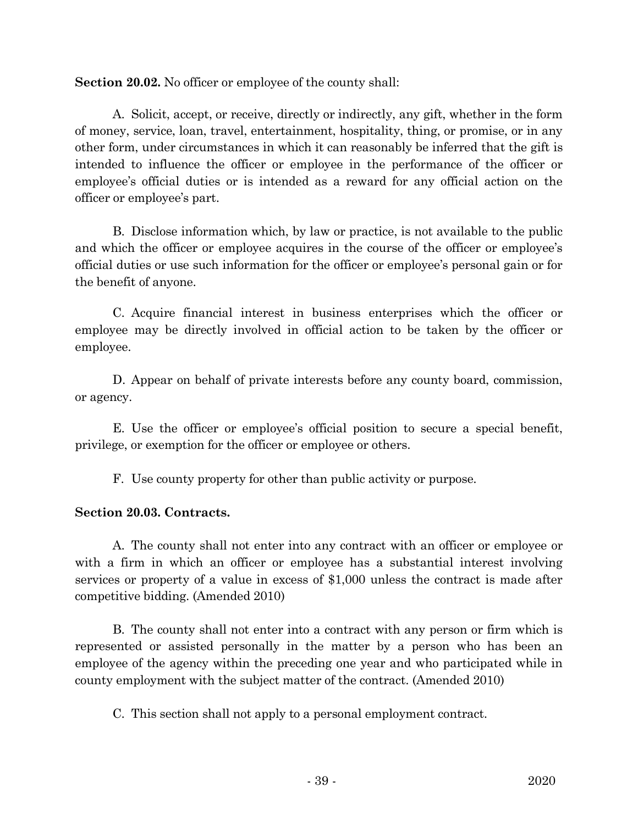Section 20.02. No officer or employee of the county shall:

A. Solicit, accept, or receive, directly or indirectly, any gift, whether in the form of money, service, loan, travel, entertainment, hospitality, thing, or promise, or in any other form, under circumstances in which it can reasonably be inferred that the gift is intended to influence the officer or employee in the performance of the officer or employee's official duties or is intended as a reward for any official action on the officer or employee's part.

B. Disclose information which, by law or practice, is not available to the public and which the officer or employee acquires in the course of the officer or employee's official duties or use such information for the officer or employee's personal gain or for the benefit of anyone.

C. Acquire financial interest in business enterprises which the officer or employee may be directly involved in official action to be taken by the officer or employee.

D. Appear on behalf of private interests before any county board, commission, or agency.

E. Use the officer or employee's official position to secure a special benefit, privilege, or exemption for the officer or employee or others.

F. Use county property for other than public activity or purpose.

## **Section 20.03. Contracts.**

A. The county shall not enter into any contract with an officer or employee or with a firm in which an officer or employee has a substantial interest involving services or property of a value in excess of \$1,000 unless the contract is made after competitive bidding. (Amended 2010)

B. The county shall not enter into a contract with any person or firm which is represented or assisted personally in the matter by a person who has been an employee of the agency within the preceding one year and who participated while in county employment with the subject matter of the contract. (Amended 2010)

C. This section shall not apply to a personal employment contract.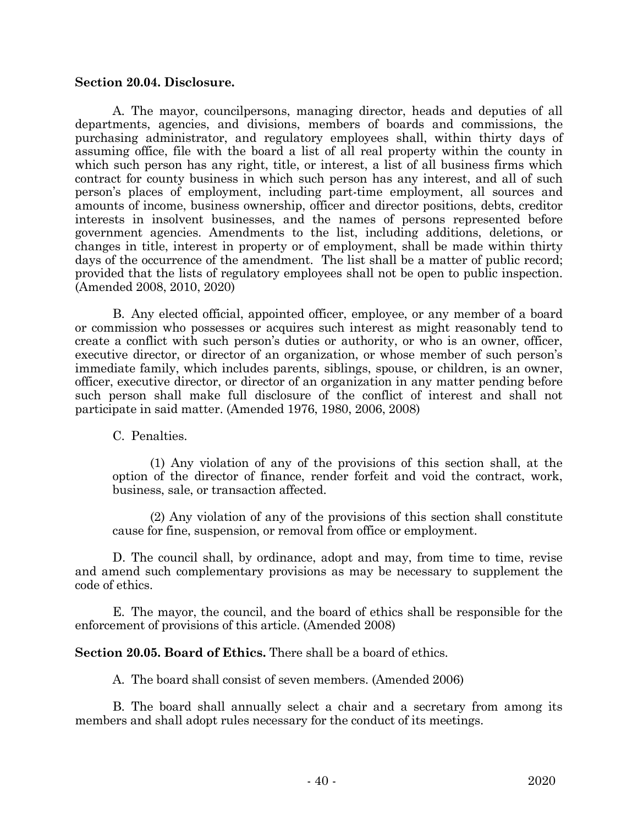## **Section 20.04. Disclosure.**

A. The mayor, councilpersons, managing director, heads and deputies of all departments, agencies, and divisions, members of boards and commissions, the purchasing administrator, and regulatory employees shall, within thirty days of assuming office, file with the board a list of all real property within the county in which such person has any right, title, or interest, a list of all business firms which contract for county business in which such person has any interest, and all of such person's places of employment, including part-time employment, all sources and amounts of income, business ownership, officer and director positions, debts, creditor interests in insolvent businesses, and the names of persons represented before government agencies. Amendments to the list, including additions, deletions, or changes in title, interest in property or of employment, shall be made within thirty days of the occurrence of the amendment. The list shall be a matter of public record; provided that the lists of regulatory employees shall not be open to public inspection. (Amended 2008, 2010, 2020)

B. Any elected official, appointed officer, employee, or any member of a board or commission who possesses or acquires such interest as might reasonably tend to create a conflict with such person's duties or authority, or who is an owner, officer, executive director, or director of an organization, or whose member of such person's immediate family, which includes parents, siblings, spouse, or children, is an owner, officer, executive director, or director of an organization in any matter pending before such person shall make full disclosure of the conflict of interest and shall not participate in said matter. (Amended 1976, 1980, 2006, 2008)

C. Penalties.

(1) Any violation of any of the provisions of this section shall, at the option of the director of finance, render forfeit and void the contract, work, business, sale, or transaction affected.

(2) Any violation of any of the provisions of this section shall constitute cause for fine, suspension, or removal from office or employment.

D. The council shall, by ordinance, adopt and may, from time to time, revise and amend such complementary provisions as may be necessary to supplement the code of ethics.

E. The mayor, the council, and the board of ethics shall be responsible for the enforcement of provisions of this article. (Amended 2008)

**Section 20.05. Board of Ethics.** There shall be a board of ethics.

A. The board shall consist of seven members. (Amended 2006)

B. The board shall annually select a chair and a secretary from among its members and shall adopt rules necessary for the conduct of its meetings.